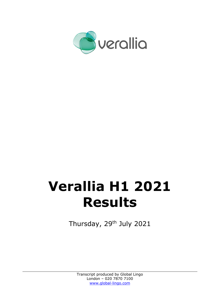

# **Verallia H1 2021 Results**

Thursday, 29<sup>th</sup> July 2021

Transcript produced by Global Lingo London – 020 7870 7100 www.global-lingo.com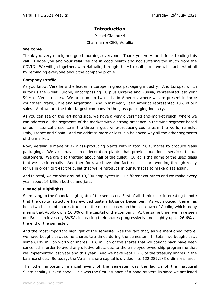# **Introduction**

Michel Giannuzzi Chairman & CEO, Verallia

#### **Welcome**

Thank you very much, and good morning, everyone. Thank you very much for attending this call. I hope you and your relatives are in good health and not suffering too much from the COVID. We will go together, with Nathalie, through the H1 results, and we will start first of all by reminding everyone about the company profile.

#### **Company Profile**

As you know, Verallia is the leader in Europe in glass packaging industry. And Europe, which is for us the Great Europe, encompassing EU plus Ukraine and Russia, represented last year 90% of Verallia sales. We are number two in Latin America, where we are present in three countries: Brazil, Chile and Argentina. And in last year, Latin America represented 10% of our sales. And we are the third largest company in the glass packaging industry.

As you can see on the left-hand side, we have a very diversified end-market reach, where we can address all the segments of the market with a strong presence in the wine segment based on our historical presence in the three largest wine-producing countries in the world, namely, Italy, France and Spain. And we address more or less in a balanced way all the other segments of the market.

Now, Verallia is made of 32 glass-producing plants with in total 58 furnaces to produce glass packaging. We also have three decoration plants that provide additional services to our customers. We are also treating about half of the cullet. Cullet is the name of the used glass that we use internally. And therefore, we have nine factories that are working through really for us in order to treat the cullet that we reintroduce in our furnaces to make glass again.

And in total, we employ around 10,000 employees in 11 different countries and we make every year about 16 billion bottles and jars.

#### **Financial Highlights**

So moving to the financial highlights of the semester. First of all, I think it is interesting to note that the capital structure has evolved quite a lot since December. As you noticed, there has been two blocks of shares traded on the market based on the sell-down of Apollo, which today means that Apollo owns 16.3% of the capital of the company. At the same time, we have seen our Brazilian investor, BWSA, increasing their shares progressively and slightly up to 26.6% at the end of the semester.

And the most important highlight of the semester was the fact that, as we mentioned before, we have bought back some shares two times during the semester. In total, we bought back some €109 million worth of shares. 1.6 million of the shares that we bought back have been cancelled in order to avoid any dilutive effect due to the employee ownership programme that we implemented last year and this year. And we have kept 1.7% of the treasury shares in the balance sheet. So today, the Verallia share capital is divided into 122,289,183 ordinary shares.

The other important financial event of the semester was the launch of the inaugural Sustainability-Linked bond. This was the first issuance of a bond by Verallia since we are listed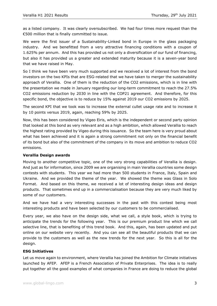as a listed company. It was clearly oversubscribed. We had four times more request than the €500 million that is finally committed to issue.

We were the first issuer of a Sustainability-Linked bond in Europe in the glass packaging industry. And we benefitted from a very attractive financing conditions with a coupon of 1.625% per annum. And this has provided us not only a diversification of our fund of financing, but also it has provided us a greater and extended maturity because it is a seven-year bond that we have raised in May.

So I think we have been very much supported and we received a lot of interest from the bond investors on the two KPIs that are ESG-related that we have taken to merger the sustainability approach of Verallia. One of them is the reduction of the CO2 emissions, which is in line with the presentation we made in January regarding our long-term commitment to reach the 27.5% CO2 emissions reduction by 2030 in line with the COP21 agreement. And therefore, for this specific bond, the objective is to reduce by 15% against 2019 our CO2 emissions by 2025.

The second KPI that we took was to increase the external cullet usage rate and to increase it by 10 points versus 2019, again, reaching 59% by 2025.

Now, this has been considered by Vigeo Eiris, which is the independent or second party opinion that looked at this bond as very relevant and as a high ambition, which allowed Verallia to reach the highest rating provided by Vigeo during this issuance. So the team here is very proud about what has been achieved and it is again a strong commitment not only on the financial benefit of its bond but also of the commitment of the company in its move and ambition to reduce CO2 emissions.

### **Verallia Design awards**

Moving to another competitive topic, one of the very strong capabilities of Verallia is design. And just as for information, since 2009 we are organising in main Verallia countries some design contests with students. This year we had more than 500 students in France, Italy, Spain and Ukraine. And we provided the theme of the year. We showed the theme was Glass in Solo Format. And based on this theme, we received a lot of interesting design ideas and design products. That sometimes end up in a commercialisation because they are very much liked by some of our customers.

And we have had a very interesting successes in the past with this contest being most interesting products and have been selected by our customers to be commercialised.

Every year, we also have on the design side, what we call, a style book, which is trying to anticipate the trends for the following year. This is our premium product line which we call selective line, that is benefiting of this trend book. And this, again, has been updated and put online on our website very recently. And you can see all the beautiful products that we can provide to the customers as well as the new trends for the next year. So this is all for the design.

#### **ESG Initiatives**

Let us move again to environment, where Verallia has joined the Ambition for Climate initiatives launched by AFEP. AFEP is a French Association of Private Enterprises. The idea is to really put together all the good examples of what companies in France are doing to reduce the global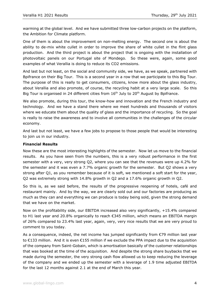warming at the global level. And we have submitted three low-carbon projects on the platform, the Ambition for Climate platform.

One of them is about the improvement on non-melting energy. The second one is about the ability to de-mix white cullet in order to improve the share of white cullet in the flint glass production. And the third project is about the project that is ongoing with the installation of photovoltaic panels on our Portugal site of Mondego. So these were, again, some good examples of what Verallia is doing to reduce its CO2 emissions.

And last but not least, on the social and community side, we have, as we speak, partnered with Bpifrance on their Big Tour. This is a second year in a row that we participate to this Big Tour. The purpose of this is really to get consumers, citizens, know more about the glass industry, about Verallia and also promote, of course, the recycling habit at a very large scale. So this Big Tour is organised in 24 different cities from  $16<sup>th</sup>$  July to 20<sup>th</sup> August by Bpifrance.

We also promote, during this tour, the know-how and innovation and the French industry and technology. And we have a stand there where we meet hundreds and thousands of visitors where we educate them about the quality of glass and the importance of recycling. So the goal is really to raise the awareness and to involve all communities in the challenges of the circular economy.

And last but not least, we have a few jobs to propose to those people that would be interesting to join us in our industry.

## **Financial Results**

Now these are the most interesting highlights of the semester. Now let us move to the financial results. As you have seen from the numbers, this is a very robust performance in the first semester with a very, very strong Q2, where you can see that the revenues were up 4.2% for the semester and it was even a 7.7% organic growth for the semester. But Q2 shows a very strong after Q1, as you remember because of it is soft, we mentioned a soft start for the year, Q2 was extremely strong with 14.8% growth in Q2 and a 17.6% organic growth in Q2.

So this is, as we said before, the results of the progressive reopening of hotels, café and restaurant mainly. And by the way, we are clearly sold out and our factories are producing as much as they can and everything we can produce is today being sold, given the strong demand that we have on the market.

Now on the profitability side, our EBITDA increased also very significantly, +15.4% compared to H1 last year and 20.8% organically to reach €345 million, which means an EBITDA margin of 26% compared to 23.4% last year, again, very, very nice results that we are very proud to comment to you today.

As a consequence, indeed, the net income has jumped significantly from  $\epsilon$ 79 million last year to €133 million. And it is even €155 million if we exclude the PPA impact due to the acquisition of the company from Saint-Gobain, which is amortisation basically of the customer relationships that was booked at the time of the acquisition. And despite the strong share buybacks that we made during the semester, the very strong cash flow allowed us to keep reducing the leverage of the company and we ended up the semester with a leverage of 1.9 time adjusted EBITDA for the last 12 months against 2.1 at the end of March this year.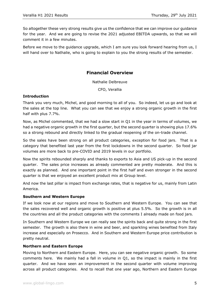So altogether these very strong results give us the confidence that we can improve our guidance for the year. And we are going to revise the 2021 adjusted EBITDA upwards, so that we will comment it in a few minutes.

Before we move to the guidance upgrade, which I am sure you look forward hearing from us, I will hand over to Nathalie, who is going to explain to you the strong results of the semester.

# **Financial Overview**

#### Nathalie Delbreuve

CFO, Verallia

## **Introduction**

Thank you very much, Michel, and good morning to all of you. So indeed, let us go and look at the sales at the top line. What you can see that we enjoy a strong organic growth in the first half with plus 7.7%.

Now, as Michel commented, that we had a slow start in Q1 in the year in terms of volumes, we had a negative organic growth in the first quarter, but the second quarter is showing plus 17.6% so a strong rebound and directly linked to the gradual reopening of the on-trade channel.

So the sales have been strong on all product categories, exception for food jars. That is a category that benefited last year from the first lockdowns in the second quarter. So food jar volumes are more back to pre-COVID and 2019 levels in our portfolio.

Now the spirits rebounded sharply and thanks to exports to Asia and US pick-up in the second quarter. The sales price increases as already commented are pretty moderate. And this is exactly as planned. And one important point in the first half and even stronger in the second quarter is that we enjoyed an excellent product mix at Group level.

And now the last pillar is impact from exchange rates, that is negative for us, mainly from Latin America.

# **Southern and Western Europe**

If we look now at our regions and move to Southern and Western Europe. You can see that the sales recovered well and organic growth is positive at plus 5.5%. So the growth is in all the countries and all the product categories with the comments I already made on food jars.

In Southern and Western Europe we can really see the spirits back and quite strong in the first semester. The growth is also there in wine and beer, and sparkling wines benefited from Italy increase and especially on Prosecco. And in Southern and Western Europe price contribution is pretty neutral.

# **Northern and Eastern Europe**

Moving to Northern and Eastern Europe. Here, you can see negative organic growth. So some comments here. We mainly had a fall in volume in Q1, so the impact is mainly in the first quarter. And we have seen an improvement in the second quarter with volume improving across all product categories. And to recall that one year ago, Northern and Eastern Europe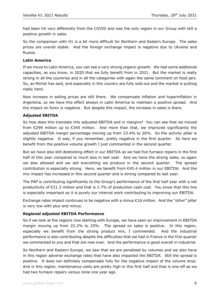had been hit very differently from the COVID and was the only region in our Group with still a positive growth in sales.

So the comparison with H1 is a bit more difficult for Northern and Eastern Europe. The sales prices are overall stable. And the foreign exchange impact is negative due to Ukraine and Russia.

# **Latin America**

If we move to Latin America, you can see a very strong organic growth. We had some additional capacities, as you know, in 2020 that we fully benefit from in 2021. But the market is really strong in all the countries and in all the categories with again the same comment on food jars. So, as Michel has said, and especially in this country are fully sold out and the market is putting really hard.

Now increase in selling prices are still there. We compensate inflation and hyperinflation in Argentina, so we have this effect always in Latin America to maintain a positive spread. And the impact on forex is negative. But despite this impact, the increase in sales is there.

## **Adjusted EBITDA**

So how does this translate into adjusted EBITDA and in margins? You can see that we moved from  $\epsilon$ 299 million up to  $\epsilon$ 345 million. And more than that, we improved significantly the adjusted EBITDA margin percentage moving up from 23.4% to 26%. So the activity pillar is slightly negative. It was, if you remember, pretty negative in the first quarter. So here we benefit from the positive volume growth I just commented in the second quarter.

But we have also still destocking effect in our EBITDA as we had five furnace repairs in the first half of this year compared to much less in last year. And we have the strong sales, so again we also allowed and we sell everything we produce in the second quarter. The spread contribution is especially strong. Here, we benefit from €45.4 million in our EBITDA. And the mix impact has increased in this second quarter and is strong compared to last year.

The PAP is contributing significantly to the Group's performance of the first half year with a net productivity of €21.3 million and that is 2.7% of production cash cost. You know that this line is especially important as it is purely our internal work contributing to improving our EBITDA.

Exchange rates impact continues to be negative with a minus €16 million. And the "other" pillar is very low with plus and minus.

#### **Regional adjusted EBITDA Performance**

So if we look at the regions now starting with Europe, we have seen an improvement in EBITDA margin moving up from 22.2% to 25%. The spread on sales is positive. In this region, especially we benefit from the strong product mix, I commented. And the industrial performance is also contributing despite the difficulties that we had in France in the first quarter we commented to you and that are now over. And the performance is good overall in industrial.

So Northern and Eastern Europe, we saw that we are penalised by volumes and we also have in this region adverse exchange rates that have also impacted the EBITDA. Still the spread is positive. It does not definitely compensate fully for the negative impact of the volume drop. And in this region, maintenance costs are pretty high in this first half and that is one-off as we had two furnace repairs versus none one year ago.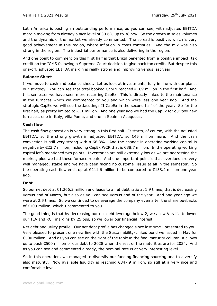Latin America is posting an outstanding performance, as you can see, with adjusted EBITDA margin moving from already a nice level of 30.6% up to 38.5%. So the growth in sales volumes and the dynamic of the market we already commented. The spread is positive, which is very good achievement in this region, where inflation in costs continues. And the mix was also strong in the region. The industrial performance is also delivering in the region.

And one point to comment on this first half is that Brazil benefited from a positive impact, tax credit on the ICMS following a Supreme Court decision to give back tax credit. But despite this one-off, adjusted EBITDA margin is really strong and improving versus last year.

## **Balance Sheet**

If we move to cash and balance sheet. Let us look at investments, fully in line with our plans, our strategy. You can see that total booked CapEx reached €109 million in the first half. And this semester we have seen more recurring CapEx. This is directly linked to the maintenance in the furnaces which we commented to you and which were less one year ago. And the strategic CapEx we will see the Jacutinga II CapEx in the second half of the year. So for the first half, as pretty limited to €11 million. And one year ago we had the CapEx for our two new furnaces, one in Italy, Villa Poma, and one in Spain in Azuqueca.

## **Cash flow**

The cash flow generation is very strong in this first half. It starts, of course, with the adjusted EBITDA, so the strong growth in adjusted EBITDA, so  $\epsilon$ 45 million more. And the cash conversion is still very strong with a 68.3%. And the change in operating working capital is negative by €23.7 million, including CapEx WCR that is €38.7 million. In the operating working capital let's mentioned two points. Inventories are still extremely low as we are addressing the market, plus we had these furnace repairs. And one important point is that overdues are very well managed, stable and we have been facing no customer issue at all in the semester. So the operating cash flow ends up at €211.6 million to be compared to €138.2 million one year ago.

#### **Debt**

So our net debt at €1,266.2 million and leads to a net debt ratio at 1.9 times, that is decreasing versus end of March, but also as you can see versus end of the year. And one year ago we were at 2.5 times. So we continued to deleverage the company even after the share buybacks of €109 million, which I commented to you.

The good thing is that by decreasing our net debt leverage below 2, we allow Verallia to lower our TLA and RCF margins by 25 bps, so we lower our financial interest.

Net debt and utility profile. Our net debt profile has changed since last time I presented to you. Very pleased to present one new line with the Sustainability-Linked bond we issued in May for €500 million. And as you can see on the right of the table in the final maturity column, it allows us to push €500 million of our debt to 2028 when the rest of the maturities are for 2024. And as you can see and commented already, the nominal rate is at very interesting level.

So in this operation, we managed to diversify our funding financing sourcing and to diversify also maturity. Now available liquidity is reaching €847.9 million, so still at a very nice and comfortable level.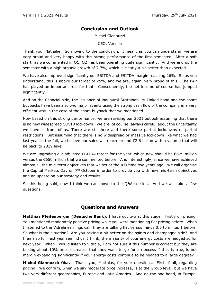# **Conclusion and Outlook**

Michel Giannuzzi

CEO, Verallia

Thank you, Nathalie. So moving to the conclusion. I mean, as you can understand, we are very proud and very happy with this strong performance of the first semester. After a soft start, as we commented in Q1, Q2 has been operating quite significantly. And we end up the semester with a high organic growth of 7.7%, which is clearly a bit better than expected.

We have also improved significantly our EBITDA and EBITDA margin reaching 26%. So as you understand, this is above our target of 25%, and we are, again, very proud of this. The PAP has played an important role for that. Consequently, the net income of course has jumped significantly.

And on the financial side, the issuance of inaugural Sustainability-Linked bond and the share buybacks have been also two major events using the strong cash flow of the company in a very efficient way in the case of the share buyback that we mentioned.

Now based on this strong performance, we are revising our 2021 outlook assuming that there is no new widespread COVID lockdown. We are, of course, always careful about the uncertainty we have in front of us. There are still here and there some partial lockdowns or partial restrictions. But assuming that there is no widespread or massive lockdown like what we had last year in the fall, we believe our sales will reach around €2.6 billion with a volume that will be back to 2019 level.

We are upgrading our adjusted EBITDA target for the year, which now should be €675 million versus the €650 million that we commented before. And interestingly, since we have achieved almost all the mid-term objectives that we set at the IPO time two years ago. We will organise the Capital Markets Day on 7<sup>th</sup> October in order to provide you with new mid-term objectives and an update on our strategy and results.

So this being said, now I think we can move to the Q&A session. And we will take a few questions.

# **Questions and Answers**

Matthias Pfeifenberger (Deutsche Bank): I have got two at this stage. Firstly on pricing. You mentioned moderately positive pricing while you were mentioning flat pricing before. When I listened to the Vidrala earnings call, they are talking flat versus minus 0.5 to minus 1 before. So what is the situation? Are you pricing a bit better on the spirits and champagne side? And then also for next year remind us, I think, the majority of your energy costs are hedged so for next year. When I would listen to Vidrala, I am not sure if this number is correct but they are talking about 10% price increases that they want to go for an excess if that is true, is not margin expanding significantly if your energy costs continue to be hedged to a large degree?

**Michel Giannuzzi:** Okay. Thank you, Matthias, for your questions. First of all, regarding pricing. We confirm, when we say moderate price increase, is at the Group level, but we have two very different geographies, Europe and Latin America. And on the one hand, in Europe,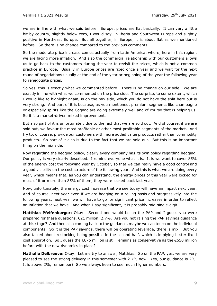we are in line with what we said before. Europe, prices are flat basically. It can vary a little bit by country, slightly below zero, I would say, in Iberia and Southwest Europe and slightly positive in Northeast Europe. But all together, in Europe, it is about flat as we mentioned before. So there is no change compared to the previous comments.

So the moderate price increase comes actually from Latin America, where, here in this region, we are facing more inflation. And also the commercial relationship with our customers allows us to go back to the customers during the year to revisit the prices, which is not a common practice in Europe. Usually in Europe prices are fixed once a year and we wait for the next round of negotiations usually at the end of the year or beginning of the year the following year to renegotiate prices.

So yes, this is exactly what we commented before. There is no change on our side. We are exactly in line with what we commented on the price side. The surprise, to some extent, which I would like to highlight again, is on the mix side, which you do not have the split here but is very strong. And part of it is because, as you mentioned, premium segments like champagne or especially spirits like the Cognac are doing extremely well and of course that is helping us. So it is a market-driven mixed improvements.

But also part of it is unfortunately due to the fact that we are sold out. And of course, if we are sold out, we favour the most profitable or other most profitable segments of the market. And try to, of course, provide our customers with more added value products rather than commodity products. So part of it also is due to the fact that we are sold out. But this is an important thing on the mix side.

Now regarding the hedging policy, clearly every company has its own policy regarding hedging. Our policy is very clearly described. I remind everyone what it is. It is we want to cover 85% of the energy cost the following year by October, so that we can really have a good control and a good visibility on the cost structure of the following year. And this is what we are doing every year, which means that, as you can understand, the energy prices of this year were locked for most of it or more than 85% of them, they were locked back last year.

Now, unfortunately, the energy cost increase that we see today will have an impact next year. And of course, next year even if we are hedging on a rolling basis and progressively into the following years, next year we will have to go for significant price increases in order to reflect an inflation that we have. And when I say significant, it is probably mid-single-digit.

**Matthias Pfeifenberger:** Okay. Second one would be on the PAP and I guess you were prepared for these questions, €21 million, 2.7%. Are you not raising the PAP savings guidance at this stage? And then also coming back to the guidance, maybe we can touch on the individual components. So it is the PAP savings, there will be operating leverage, there is mix. But you also talked about restocking being possible in the second half, which is implying better fixed cost absorption. So I guess the €675 million is still remains as conservative as the €650 million before with the new dynamics in place?

**Nathalie Delbreuve:** Okay. Let me try to answer, Matthias. So on the PAP, yes, we are very pleased to see the strong delivery in this semester with 2.7% now. Yes, our guidance is 2%. It is above 2%, remember? So we always keen to see much higher numbers.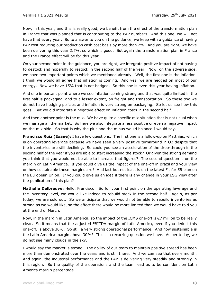Now, in this year, and this is really good, we benefit from the effect of the transformation plan in France that was planned that is contributing to the PAP numbers. And this one, we will not have that every year. So to answer to you on the guidance, we keep with a guidance of having PAP cost reducing our production cash cost basis by more than 2%. And you are right, we have been delivering this year 2.7%, so which is good. But again the transformation plan in France and the France effect will be for this year.

On your second point in the guidance, you are right, we integrate positive impact of not having to destock and hopefully to restock in the second half of the year. Now, on the adverse side, we have two important points which we mentioned already. Well, the first one is the inflation. I think we would all agree that inflation is coming. And yes, we are hedged on most of our energy. Now we have 15% that is not hedged. So this one is even this year having inflation.

And one important point where we see inflation coming strong and that was quite limited in the first half is packaging, and to a lesser extent, on freight and transportation. So these two we do not have hedging policies and inflation is very strong on packaging. So let us see how this goes. But we did integrate a negative effect on inflation costs in the second half.

And then another point is the mix. We have quite a specific mix situation that is not usual when we manage all the market. So here we also integrate a less positive or even a negative impact on the mix side. So that is why the plus and the minus would balance I would say.

**Francisco Ruiz (Exane):** I have few questions. The first one is a follow-up on Matthias, which is on operating leverage because we have seen a very positive turnaround in Q2 despite that the inventories are still declining. So could you see an acceleration of the drop-through in the second half of the year if you are able to start increasing the stock? Or given the strong demand you think that you would not be able to increase that figures? The second question is on the margin on Latin America. If you could give us the impact of the one-off in Brazil and your view on how sustainable these margins are? And last but not least is on the latest Fit for 55 plan on the European Union. If you could give us an idea if there is any change in your ESG view after the publication of this plan?

**Nathalie Delbreuve:** Hello, Francisco. So for your first point on the operating leverage and the inventory level, we would like indeed to rebuild stock in the second half. Again, as per today, we are sold out. So we anticipate that we would not be able to rebuild inventories as strong as we would like, so the effect there would be more limited than we would have told you at the end of March.

Now, in the margin in Latin America, so the impact of the ICMS one-off is €7 million to be really clear. So it means that the adjusted EBITDA margin of Latin America, even if you deduct this one-off, is above 30%. So still a very strong operational performance. And how sustainable is the Latin America margin above 30%? This is a recurring question we have. As per today, we do not see many clouds in the sky.

I would say the market is strong. The ability of our team to maintain positive spread has been more than demonstrated over the years and is still there. And we can see that every month. And again, the industrial performance and the PAP is delivering very steadily and strongly in this region. So the quality of the operations and the team lead us to be confident on Latin America margin percentage.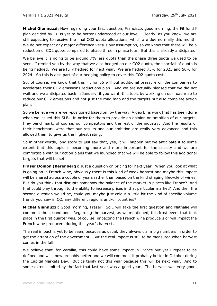**Michel Giannuzzi:** Now regarding your first question, Francisco, good morning, the Fit for 55 plan decided by EU is yet to be better understood at our level. Clearly, as you know, we are still expecting to receive the final CO2 quota allocations, which are due normally this month. We do not expect any major difference versus our assumption, so we know that there will be a reduction of CO2 quote compared to phase three in phase four. But this is already anticipated.

We believe it is going to be around 7% less quota than the phase three quota we used to be seen. I remind you by the way that we also hedged on our CO2 quota, the shortfall of quota is being hedged. We are fully hedged for next year. We are hedged 75% for 2023 and 50% for 2024. So this is also part of our hedging policy to cover this CO2 quota cost.

So, of course, we know that this Fit for 55 will put additional pressure on the companies to accelerate their CO2 emissions reductions plan. And we are actually pleased that we did not wait and we anticipated back in January, if you want, this topic by working on our road map to reduce our CO2 emissions and not just the road map and the targets but also complete action plan.

So we believe we are well-positioned based on, by the way, Vigeo Eiris work that has been done when we issued this SLB. In order for them to provide an opinion on ambition of our targets, they benchmark, of course, our competitors and the rest of the industry. And the results of their benchmark were that our results and our ambition are really very advanced and this allowed them to give us the highest rating.

So in other words, long story to just say that, yes, it will happen but we anticipate it to some extent that this topic is becoming more and more important for the society and we are comfortable with our action plans that we launched that we will be able to follow this additional targets that will be set.

**Fraser Donlon (Berenberg):** Just a question on pricing for next year. When you look at what is going on in French wine, obviously there is this kind of weak harvest and maybe this impact will be shared across a couple of years rather than based on the kind of aging lifecycle of wines. But do you think that disrupts somehow the balance of the market in places like France? And that could play through to the ability to increase prices in that particular market? And then the second question would be, could you maybe just colour a little bit the kind of specific volume trends you saw in Q2, any different regions and/or countries?

**Michel Giannuzzi:** Good morning, Fraser. So I will take the first question and Nathalie will comment the second one. Regarding the harvest, as we mentioned, this frost event that took place in the first quarter was, of course, impacting the French wine producers or will impact the French wine producers during this year's harvest.

The real impact is yet to be seen, because as usual, they always claim big numbers in order to get the attention of the government. But the real impact is still to be measured when harvest comes in the fall.

We believe that, for Verallia, this could have some impact in France but yet I repeat to be defined and will know probably better and we will comment it probably better in October during the Capital Markets Day. But certainly not this year because this will be next year. And to some extent limited by the fact that last year was a good year. The harvest was very good.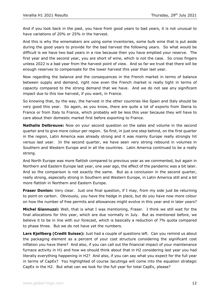And if you look back in the past, you have from good years to bad years, it is not unusual to have variations of 20% or 25% in the harvest.

And this is why the winemakers are using some inventories, some bulk wine that is put aside during the good years to provide for the bad harvest the following years. So what would be difficult is we have two bad years in a row because then you have emptied your reserve. The first year and the second year, you are short of wine, which is not the case. So cross fingers unless 2022 is a bad year from the harvest point of view. And so far we trust that there will be enough reserves to compensate for the lower harvest this year than last year.

Now regarding the balance and the consequences in the French market in terms of balance between supply and demand, right now even the French market is really tight in terms of capacity compared to the strong demand that we have. And we do not see any significant impact due to this low harvest, if you want, in France.

So knowing that, by the way, the harvest in the other countries like Spain and Italy should be very good this year. So again, as you know, there are quite a lot of exports from Iberia to France or from Italy to France, which probably will be less this year because they will have to care about their domestic market first before exporting to France.

**Nathalie Delbreuve:** Now on your second question on the sales and volume in the second quarter and to give more colour per region. So first, in just one step behind, on the first quarter in the region, Latin America was already strong and it was mainly Europe really strongly hit versus last year. In the second quarter, we have seen very strong rebound in volumes in Southern and Western Europe and in all the countries. Latin America continued to be a really strong.

And North Europe was more flattish compared to previous year as we commented, but again in Northern and Eastern Europe last year, one year ago, the effect of the pandemic was a bit later. And so the comparison is not exactly the same. But as a conclusion in the second quarter, really strong, especially strong in Southern and Western Europe, in Latin America still and a bit more flattish in Northern and Eastern Europe.

**Fraser Donlon:** Very clear. Just one final question, if I may, from my side just be returning to point on carbon. Obviously, you have the hedge in place, but do you have now more colour on how the number of free permits and allowances might evolve in this year and in later years?

**Michel Giannuzzi:** Well, that is what I was mentioning, Fraser. I think we still wait for the final allocations for this year, which are due normally in July. But as mentioned before, we believe it to be in line with our forecast, which is basically a reduction of 7% quota compared to phase three. But we do not have yet the numbers.

**Lars Kjellberg (Credit Suisse):** Just had a couple of questions left. Can you remind us about the packaging element as a percent of your cost structure considering the significant cost inflation you have there? And also, if you can call out the financial impact of your maintenance furnace activity in H1 and how we should think about that in H2 considering last year you had literally everything happening in H2? And also, if you can say what you expect for the full year in terms of CapEx? You highlighted of course Jacutinga will come into the equation strategic CapEx in the H2. But what can we look for the full year for total CapEx, please?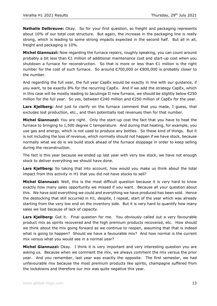**Nathalie Delbreuve:** Okay. So for your first question, so freight and packaging represents about 10% of our total cost structure. But again, the increase in the packaging line is really strong, which is leading to some strong impacts expected in the second half. But all in all, freight and packaging is 10%.

**Michel Giannuzzi:** Now regarding the furnace repairs, roughly speaking, you can count around probably a bit less than €1 million of additional maintenance cost and start-up cost when you shutdown a furnace for reconstruction. So that is more or less than €1 million is the right number for the cost of such furnace. So around €700,000 or €800,000 is probably closer to the number.

And regarding the full year, the full year CapEx would be exactly in line with our guidance, if you want, to be exactly 8% for the recurring CapEx. And if we add the strategy CapEx, which in this case will be mostly leading to Jacutinga II new furnace, we should be slightly below €250 million for the full year. So yes, between €240 million and €250 million of CapEx for the year.

**Lars Kjellberg:** And just to clarify on the furnace comment that you made, I guess, that excludes lost production, etc., and then potentially lost revenues then for that number.

**Michel Giannuzzi:** You are right. Only the start-up cost the fact that you have to heat the furnace to bringing to 1,500 degree C temperature. And during that heating, for example, you use gas and energy, which is not used to produce any bottles. So these kind of things. But it is not including the loss of revenue, which normally should not happen if we have stock, because normally what we do is we build stock ahead of the furnace stoppage in order to keep selling during the reconstruction.

The fact is this year because we ended up last year with very low stock, we have not enough stock to deliver everything we should have done.

Lars Kjellberg: So taking that into account, how would you make us think about the total impact from this activity in H1 that you did not have stocks to sell?

**Michel Giannuzzi:** Well, this is the most difficult question because it is very hard to know exactly how many sales opportunity we missed if you want. Because all your question about this. We have sold everything we could and everything we have produced has been sold. Hence the destocking that still occurred in H1, despite, I repeat, start of the year which was already starting from the very low end on the inventory side. But it is very hard to quantify how many sales we lost because of lack of capacity.

**Lars Kjellberg:** Got it. Final question for me. You obviously called out a very favourable product mix as spirits recovered and the high premium products recovered, etc. How should we think about the mix going forward as we continue to reopen, assuming that that is indeed what is going to happen? Should we have a favourable mix? And how normal is the current mix versus what you would see in a normal year?

**Michel Giannuzzi:** Okay. I think it is very important and very interesting question you are asking us. Because when we comment the mix, we always comment the mix versus the prior year. And you remember, last year was exactly the opposite. The first semester, we had unfavourable mix because the most premium products like spirits, champagne suffered from the lockdowns and therefore our mix was quite negative this year.